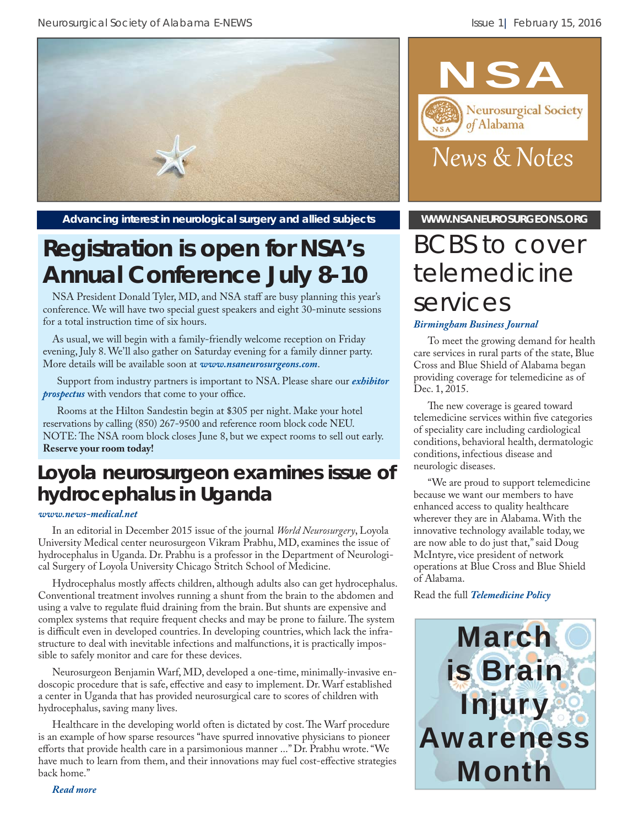

Advancing interest in neurological surgery and allied subjects **WWW.NSANEUROSURGEONS.ORG** 

## **Registration is open for NSA's Annual Conference July 8-10**

NSA President Donald Tyler, MD, and NSA staff are busy planning this year's conference. We will have two special guest speakers and eight 30-minute sessions for a total instruction time of six hours.

As usual, we will begin with a family-friendly welcome reception on Friday evening, July 8. We'll also gather on Saturday evening for a family dinner party. More details will be available soon at *www.nsaneurosurgeons.com*.

Support from industry partners is important to NSA. Please share our *[exhibitor](http://www.nsaneurosurgeons.com/wp/wp-content/uploads/2012/11/2016-NSA-Exhibitor-Packet.pdf)  [prospectus](http://www.nsaneurosurgeons.com/wp/wp-content/uploads/2012/11/2016-NSA-Exhibitor-Packet.pdf)* with vendors that come to your office.

Rooms at the Hilton Sandestin begin at \$305 per night. Make your hotel reservations by calling (850) 267-9500 and reference room block code NEU. NOTE: The NSA room block closes June 8, but we expect rooms to sell out early. **Reserve your room today!**

### **Loyola neurosurgeon examines issue of hydrocephalus in Uganda**

#### *[www.news-medical.net](http://www.news-medical.net/news/20160113/Loyola-neurosurgeon-examines-issue-of-hydrocephalus-in-Uganda.aspx)*

In an editorial in December 2015 issue of the journal *World Neurosurgery*, Loyola University Medical center neurosurgeon Vikram Prabhu, MD, examines the issue of hydrocephalus in Uganda. Dr. Prabhu is a professor in the Department of Neurological Surgery of Loyola University Chicago Stritch School of Medicine.

Hydrocephalus mostly affects children, although adults also can get hydrocephalus. Conventional treatment involves running a shunt from the brain to the abdomen and using a valve to regulate fluid draining from the brain. But shunts are expensive and complex systems that require frequent checks and may be prone to failure. The system is difficult even in developed countries. In developing countries, which lack the infrastructure to deal with inevitable infections and malfunctions, it is practically impossible to safely monitor and care for these devices.

Neurosurgeon Benjamin Warf, MD, developed a one-time, minimally-invasive endoscopic procedure that is safe, effective and easy to implement. Dr. Warf established a center in Uganda that has provided neurosurgical care to scores of children with hydrocephalus, saving many lives.

Healthcare in the developing world often is dictated by cost. The Warf procedure is an example of how sparse resources "have spurred innovative physicians to pioneer efforts that provide health care in a parsimonious manner ..." Dr. Prabhu wrote. "We have much to learn from them, and their innovations may fuel cost-effective strategies back home."

*[Read more](http://www.news-medical.net/news/20160113/Loyola-neurosurgeon-examines-issue-of-hydrocephalus-in-Uganda.aspx)*



# BCBS to cover telemedicine services

#### *Birmingham Business Journal*

To meet the growing demand for health care services in rural parts of the state, Blue Cross and Blue Shield of Alabama began providing coverage for telemedicine as of Dec. 1, 2015.

The new coverage is geared toward telemedicine services within five categories of speciality care including cardiological conditions, behavioral health, dermatologic conditions, infectious disease and neurologic diseases.

"We are proud to support telemedicine because we want our members to have enhanced access to quality healthcare wherever they are in Alabama. With the innovative technology available today, we are now able to do just that," said Doug McIntyre, vice president of network operations at Blue Cross and Blue Shield of Alabama.

Read the full *[Telemedicine Policy](http://alabamapsych.org/wp-content/uploads/2015/12/telemedicine_policy.pdf)*